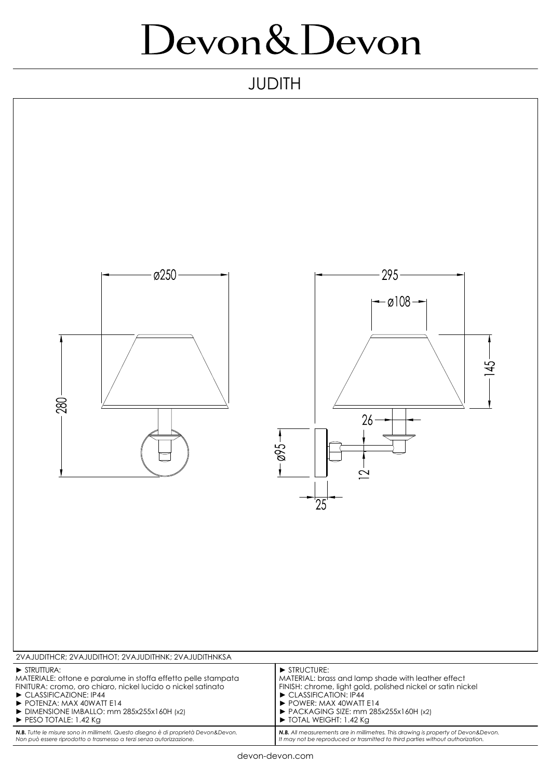## Devon&Devon

## JUDITH